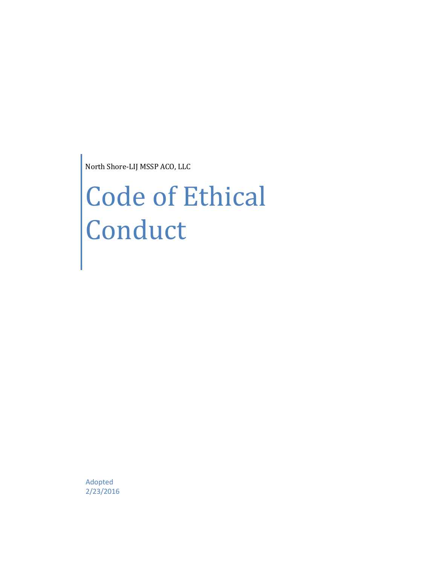North Shore-LIJ MSSP ACO, LLC

# Code of Ethical **Conduct**

Adopted 2/23/2016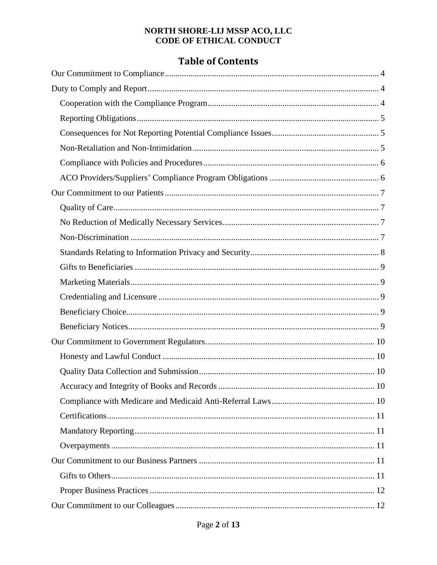# **Table of Contents**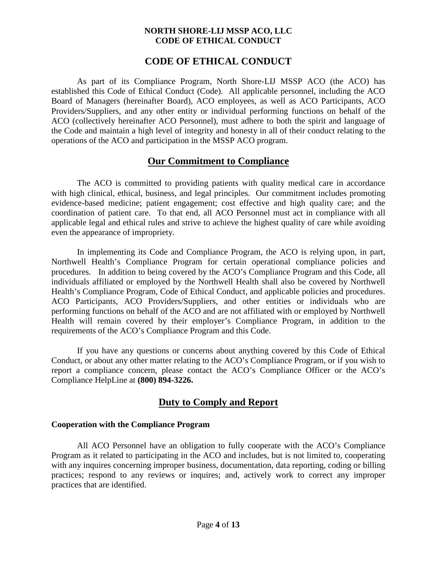#### **CODE OF ETHICAL CONDUCT**

As part of its Compliance Program, North Shore-LIJ MSSP ACO (the ACO) has established this Code of Ethical Conduct (Code). All applicable personnel, including the ACO Board of Managers (hereinafter Board), ACO employees, as well as ACO Participants, ACO Providers/Suppliers, and any other entity or individual performing functions on behalf of the ACO (collectively hereinafter ACO Personnel), must adhere to both the spirit and language of the Code and maintain a high level of integrity and honesty in all of their conduct relating to the operations of the ACO and participation in the MSSP ACO program.

# **Our Commitment to Compliance**

<span id="page-3-0"></span>The ACO is committed to providing patients with quality medical care in accordance with high clinical, ethical, business, and legal principles. Our commitment includes promoting evidence-based medicine; patient engagement; cost effective and high quality care; and the coordination of patient care. To that end, all ACO Personnel must act in compliance with all applicable legal and ethical rules and strive to achieve the highest quality of care while avoiding even the appearance of impropriety.

In implementing its Code and Compliance Program, the ACO is relying upon, in part, Northwell Health's Compliance Program for certain operational compliance policies and procedures. In addition to being covered by the ACO's Compliance Program and this Code, all individuals affiliated or employed by the Northwell Health shall also be covered by Northwell Health's Compliance Program, Code of Ethical Conduct, and applicable policies and procedures. ACO Participants, ACO Providers/Suppliers, and other entities or individuals who are performing functions on behalf of the ACO and are not affiliated with or employed by Northwell Health will remain covered by their employer's Compliance Program, in addition to the requirements of the ACO's Compliance Program and this Code.

If you have any questions or concerns about anything covered by this Code of Ethical Conduct, or about any other matter relating to the ACO's Compliance Program, or if you wish to report a compliance concern, please contact the ACO's Compliance Officer or the ACO's Compliance HelpLine at **(800) 894-3226.**

# **Duty to Comply and Report**

#### <span id="page-3-2"></span><span id="page-3-1"></span>**Cooperation with the Compliance Program**

All ACO Personnel have an obligation to fully cooperate with the ACO's Compliance Program as it related to participating in the ACO and includes, but is not limited to, cooperating with any inquires concerning improper business, documentation, data reporting, coding or billing practices; respond to any reviews or inquires; and, actively work to correct any improper practices that are identified.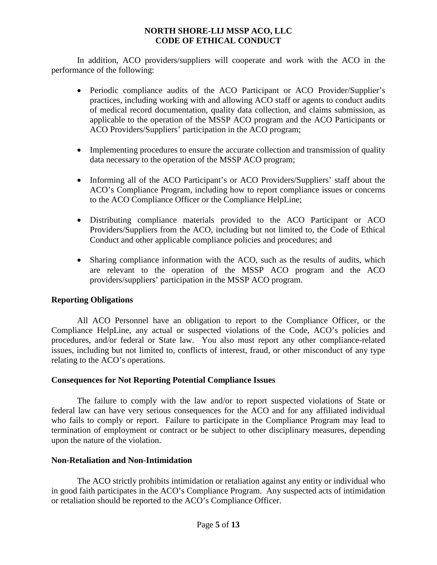In addition, ACO providers/suppliers will cooperate and work with the ACO in the performance of the following:

- Periodic compliance audits of the ACO Participant or ACO Provider/Supplier's practices, including working with and allowing ACO staff or agents to conduct audits of medical record documentation, quality data collection, and claims submission, as applicable to the operation of the MSSP ACO program and the ACO Participants or ACO Providers/Suppliers' participation in the ACO program;
- Implementing procedures to ensure the accurate collection and transmission of quality data necessary to the operation of the MSSP ACO program;
- Informing all of the ACO Participant's or ACO Providers/Suppliers' staff about the ACO's Compliance Program, including how to report compliance issues or concerns to the ACO Compliance Officer or the Compliance HelpLine;
- Distributing compliance materials provided to the ACO Participant or ACO Providers/Suppliers from the ACO, including but not limited to, the Code of Ethical Conduct and other applicable compliance policies and procedures; and
- Sharing compliance information with the ACO, such as the results of audits, which are relevant to the operation of the MSSP ACO program and the ACO providers/suppliers' participation in the MSSP ACO program.

#### <span id="page-4-0"></span>**Reporting Obligations**

All ACO Personnel have an obligation to report to the Compliance Officer, or the Compliance HelpLine, any actual or suspected violations of the Code, ACO's policies and procedures, and/or federal or State law. You also must report any other compliance-related issues, including but not limited to, conflicts of interest, fraud, or other misconduct of any type relating to the ACO's operations.

#### <span id="page-4-1"></span>**Consequences for Not Reporting Potential Compliance Issues**

The failure to comply with the law and/or to report suspected violations of State or federal law can have very serious consequences for the ACO and for any affiliated individual who fails to comply or report. Failure to participate in the Compliance Program may lead to termination of employment or contract or be subject to other disciplinary measures, depending upon the nature of the violation.

#### <span id="page-4-2"></span>**Non-Retaliation and Non-Intimidation**

The ACO strictly prohibits intimidation or retaliation against any entity or individual who in good faith participates in the ACO's Compliance Program. Any suspected acts of intimidation or retaliation should be reported to the ACO's Compliance Officer.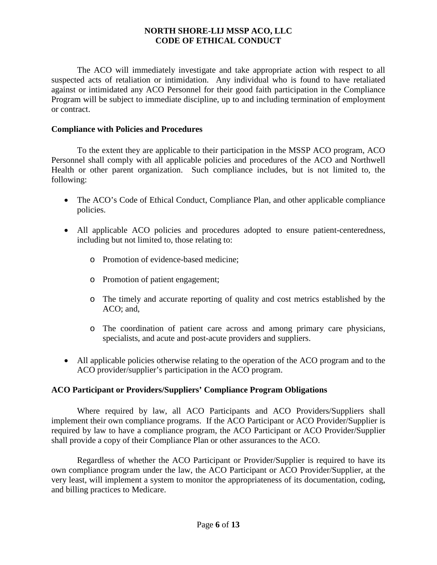The ACO will immediately investigate and take appropriate action with respect to all suspected acts of retaliation or intimidation. Any individual who is found to have retaliated against or intimidated any ACO Personnel for their good faith participation in the Compliance Program will be subject to immediate discipline, up to and including termination of employment or contract.

#### <span id="page-5-0"></span>**Compliance with Policies and Procedures**

To the extent they are applicable to their participation in the MSSP ACO program, ACO Personnel shall comply with all applicable policies and procedures of the ACO and Northwell Health or other parent organization. Such compliance includes, but is not limited to, the following:

- The ACO's Code of Ethical Conduct, Compliance Plan, and other applicable compliance policies.
- All applicable ACO policies and procedures adopted to ensure patient-centeredness, including but not limited to, those relating to:
	- o Promotion of evidence-based medicine;
	- o Promotion of patient engagement;
	- o The timely and accurate reporting of quality and cost metrics established by the ACO; and,
	- o The coordination of patient care across and among primary care physicians, specialists, and acute and post-acute providers and suppliers.
- All applicable policies otherwise relating to the operation of the ACO program and to the ACO provider/supplier's participation in the ACO program.

#### <span id="page-5-1"></span>**ACO Participant or Providers/Suppliers' Compliance Program Obligations**

Where required by law, all ACO Participants and ACO Providers/Suppliers shall implement their own compliance programs. If the ACO Participant or ACO Provider/Supplier is required by law to have a compliance program, the ACO Participant or ACO Provider/Supplier shall provide a copy of their Compliance Plan or other assurances to the ACO.

Regardless of whether the ACO Participant or Provider/Supplier is required to have its own compliance program under the law, the ACO Participant or ACO Provider/Supplier, at the very least, will implement a system to monitor the appropriateness of its documentation, coding, and billing practices to Medicare.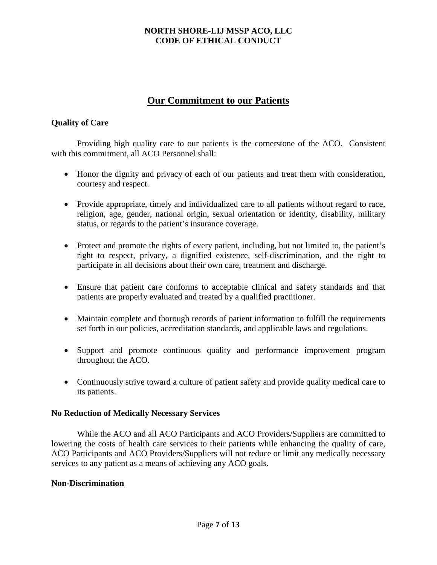# **Our Commitment to our Patients**

#### <span id="page-6-1"></span><span id="page-6-0"></span>**Quality of Care**

Providing high quality care to our patients is the cornerstone of the ACO. Consistent with this commitment, all ACO Personnel shall:

- Honor the dignity and privacy of each of our patients and treat them with consideration, courtesy and respect.
- Provide appropriate, timely and individualized care to all patients without regard to race, religion, age, gender, national origin, sexual orientation or identity, disability, military status, or regards to the patient's insurance coverage.
- Protect and promote the rights of every patient, including, but not limited to, the patient's right to respect, privacy, a dignified existence, self-discrimination, and the right to participate in all decisions about their own care, treatment and discharge.
- Ensure that patient care conforms to acceptable clinical and safety standards and that patients are properly evaluated and treated by a qualified practitioner.
- Maintain complete and thorough records of patient information to fulfill the requirements set forth in our policies, accreditation standards, and applicable laws and regulations.
- Support and promote continuous quality and performance improvement program throughout the ACO.
- Continuously strive toward a culture of patient safety and provide quality medical care to its patients.

#### <span id="page-6-2"></span>**No Reduction of Medically Necessary Services**

While the ACO and all ACO Participants and ACO Providers/Suppliers are committed to lowering the costs of health care services to their patients while enhancing the quality of care, ACO Participants and ACO Providers/Suppliers will not reduce or limit any medically necessary services to any patient as a means of achieving any ACO goals.

#### <span id="page-6-3"></span>**Non-Discrimination**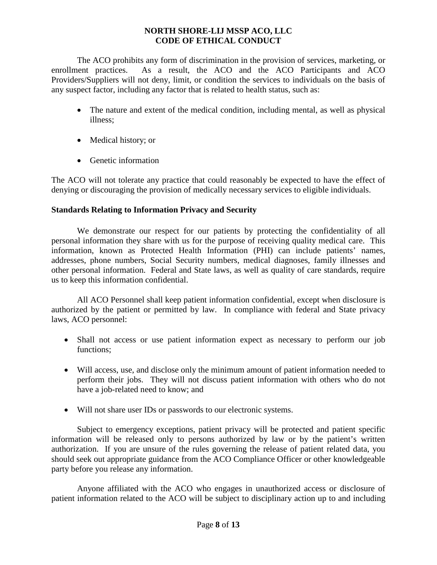The ACO prohibits any form of discrimination in the provision of services, marketing, or enrollment practices. As a result, the ACO and the ACO Participants and ACO Providers/Suppliers will not deny, limit, or condition the services to individuals on the basis of any suspect factor, including any factor that is related to health status, such as:

- The nature and extent of the medical condition, including mental, as well as physical illness;
- Medical history; or
- Genetic information

The ACO will not tolerate any practice that could reasonably be expected to have the effect of denying or discouraging the provision of medically necessary services to eligible individuals.

#### <span id="page-7-0"></span>**Standards Relating to Information Privacy and Security**

We demonstrate our respect for our patients by protecting the confidentiality of all personal information they share with us for the purpose of receiving quality medical care. This information, known as Protected Health Information (PHI) can include patients' names, addresses, phone numbers, Social Security numbers, medical diagnoses, family illnesses and other personal information. Federal and State laws, as well as quality of care standards, require us to keep this information confidential.

All ACO Personnel shall keep patient information confidential, except when disclosure is authorized by the patient or permitted by law. In compliance with federal and State privacy laws, ACO personnel:

- Shall not access or use patient information expect as necessary to perform our job functions;
- Will access, use, and disclose only the minimum amount of patient information needed to perform their jobs. They will not discuss patient information with others who do not have a job-related need to know; and
- Will not share user IDs or passwords to our electronic systems.

Subject to emergency exceptions, patient privacy will be protected and patient specific information will be released only to persons authorized by law or by the patient's written authorization. If you are unsure of the rules governing the release of patient related data, you should seek out appropriate guidance from the ACO Compliance Officer or other knowledgeable party before you release any information.

Anyone affiliated with the ACO who engages in unauthorized access or disclosure of patient information related to the ACO will be subject to disciplinary action up to and including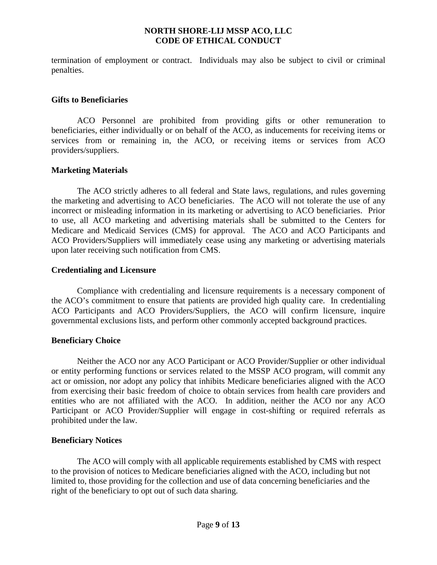termination of employment or contract. Individuals may also be subject to civil or criminal penalties.

#### <span id="page-8-0"></span>**Gifts to Beneficiaries**

ACO Personnel are prohibited from providing gifts or other remuneration to beneficiaries, either individually or on behalf of the ACO, as inducements for receiving items or services from or remaining in, the ACO, or receiving items or services from ACO providers/suppliers.

#### <span id="page-8-1"></span>**Marketing Materials**

The ACO strictly adheres to all federal and State laws, regulations, and rules governing the marketing and advertising to ACO beneficiaries. The ACO will not tolerate the use of any incorrect or misleading information in its marketing or advertising to ACO beneficiaries. Prior to use, all ACO marketing and advertising materials shall be submitted to the Centers for Medicare and Medicaid Services (CMS) for approval. The ACO and ACO Participants and ACO Providers/Suppliers will immediately cease using any marketing or advertising materials upon later receiving such notification from CMS.

#### <span id="page-8-2"></span>**Credentialing and Licensure**

Compliance with credentialing and licensure requirements is a necessary component of the ACO's commitment to ensure that patients are provided high quality care. In credentialing ACO Participants and ACO Providers/Suppliers, the ACO will confirm licensure, inquire governmental exclusions lists, and perform other commonly accepted background practices.

#### <span id="page-8-3"></span>**Beneficiary Choice**

Neither the ACO nor any ACO Participant or ACO Provider/Supplier or other individual or entity performing functions or services related to the MSSP ACO program, will commit any act or omission, nor adopt any policy that inhibits Medicare beneficiaries aligned with the ACO from exercising their basic freedom of choice to obtain services from health care providers and entities who are not affiliated with the ACO. In addition, neither the ACO nor any ACO Participant or ACO Provider/Supplier will engage in cost-shifting or required referrals as prohibited under the law.

#### <span id="page-8-4"></span>**Beneficiary Notices**

The ACO will comply with all applicable requirements established by CMS with respect to the provision of notices to Medicare beneficiaries aligned with the ACO, including but not limited to, those providing for the collection and use of data concerning beneficiaries and the right of the beneficiary to opt out of such data sharing.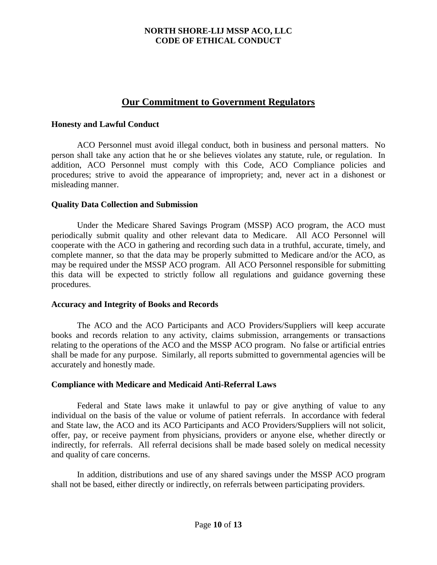### **Our Commitment to Government Regulators**

#### <span id="page-9-1"></span><span id="page-9-0"></span>**Honesty and Lawful Conduct**

ACO Personnel must avoid illegal conduct, both in business and personal matters. No person shall take any action that he or she believes violates any statute, rule, or regulation. In addition, ACO Personnel must comply with this Code, ACO Compliance policies and procedures; strive to avoid the appearance of impropriety; and, never act in a dishonest or misleading manner.

#### <span id="page-9-2"></span>**Quality Data Collection and Submission**

Under the Medicare Shared Savings Program (MSSP) ACO program, the ACO must periodically submit quality and other relevant data to Medicare. All ACO Personnel will cooperate with the ACO in gathering and recording such data in a truthful, accurate, timely, and complete manner, so that the data may be properly submitted to Medicare and/or the ACO, as may be required under the MSSP ACO program. All ACO Personnel responsible for submitting this data will be expected to strictly follow all regulations and guidance governing these procedures.

#### <span id="page-9-3"></span>**Accuracy and Integrity of Books and Records**

The ACO and the ACO Participants and ACO Providers/Suppliers will keep accurate books and records relation to any activity, claims submission, arrangements or transactions relating to the operations of the ACO and the MSSP ACO program. No false or artificial entries shall be made for any purpose. Similarly, all reports submitted to governmental agencies will be accurately and honestly made.

#### <span id="page-9-4"></span>**Compliance with Medicare and Medicaid Anti-Referral Laws**

Federal and State laws make it unlawful to pay or give anything of value to any individual on the basis of the value or volume of patient referrals. In accordance with federal and State law, the ACO and its ACO Participants and ACO Providers/Suppliers will not solicit, offer, pay, or receive payment from physicians, providers or anyone else, whether directly or indirectly, for referrals. All referral decisions shall be made based solely on medical necessity and quality of care concerns.

In addition, distributions and use of any shared savings under the MSSP ACO program shall not be based, either directly or indirectly, on referrals between participating providers.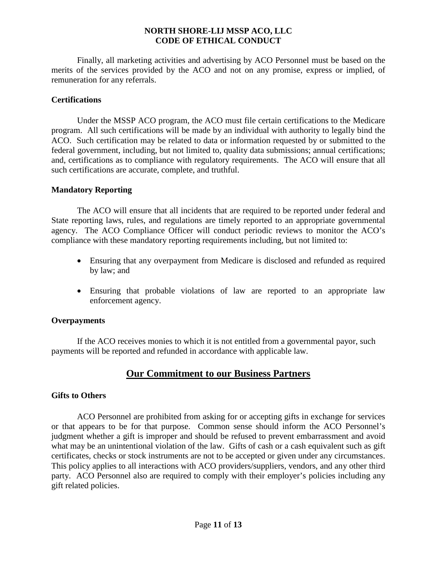Finally, all marketing activities and advertising by ACO Personnel must be based on the merits of the services provided by the ACO and not on any promise, express or implied, of remuneration for any referrals.

#### <span id="page-10-0"></span>**Certifications**

Under the MSSP ACO program, the ACO must file certain certifications to the Medicare program. All such certifications will be made by an individual with authority to legally bind the ACO. Such certification may be related to data or information requested by or submitted to the federal government, including, but not limited to, quality data submissions; annual certifications; and, certifications as to compliance with regulatory requirements. The ACO will ensure that all such certifications are accurate, complete, and truthful.

#### <span id="page-10-1"></span>**Mandatory Reporting**

The ACO will ensure that all incidents that are required to be reported under federal and State reporting laws, rules, and regulations are timely reported to an appropriate governmental agency. The ACO Compliance Officer will conduct periodic reviews to monitor the ACO's compliance with these mandatory reporting requirements including, but not limited to:

- Ensuring that any overpayment from Medicare is disclosed and refunded as required by law; and
- Ensuring that probable violations of law are reported to an appropriate law enforcement agency.

#### <span id="page-10-2"></span>**Overpayments**

If the ACO receives monies to which it is not entitled from a governmental payor, such payments will be reported and refunded in accordance with applicable law.

# **Our Commitment to our Business Partners**

#### <span id="page-10-4"></span><span id="page-10-3"></span>**Gifts to Others**

ACO Personnel are prohibited from asking for or accepting gifts in exchange for services or that appears to be for that purpose. Common sense should inform the ACO Personnel's judgment whether a gift is improper and should be refused to prevent embarrassment and avoid what may be an unintentional violation of the law. Gifts of cash or a cash equivalent such as gift certificates, checks or stock instruments are not to be accepted or given under any circumstances. This policy applies to all interactions with ACO providers/suppliers, vendors, and any other third party. ACO Personnel also are required to comply with their employer's policies including any gift related policies.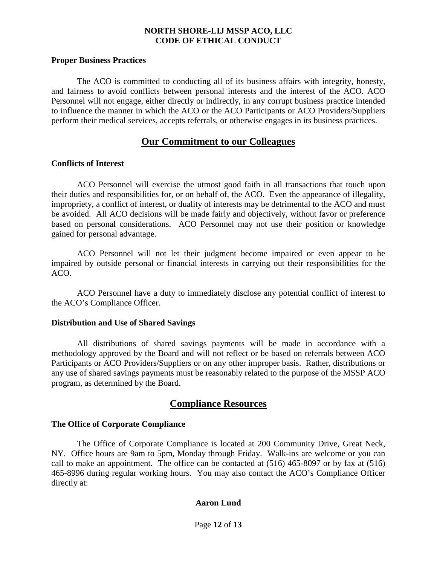#### <span id="page-11-0"></span>**Proper Business Practices**

The ACO is committed to conducting all of its business affairs with integrity, honesty, and fairness to avoid conflicts between personal interests and the interest of the ACO. ACO Personnel will not engage, either directly or indirectly, in any corrupt business practice intended to influence the manner in which the ACO or the ACO Participants or ACO Providers/Suppliers perform their medical services, accepts referrals, or otherwise engages in its business practices.

#### **Our Commitment to our Colleagues**

#### <span id="page-11-2"></span><span id="page-11-1"></span>**Conflicts of Interest**

ACO Personnel will exercise the utmost good faith in all transactions that touch upon their duties and responsibilities for, or on behalf of, the ACO. Even the appearance of illegality, impropriety, a conflict of interest, or duality of interests may be detrimental to the ACO and must be avoided. All ACO decisions will be made fairly and objectively, without favor or preference based on personal considerations. ACO Personnel may not use their position or knowledge gained for personal advantage.

ACO Personnel will not let their judgment become impaired or even appear to be impaired by outside personal or financial interests in carrying out their responsibilities for the ACO.

ACO Personnel have a duty to immediately disclose any potential conflict of interest to the ACO's Compliance Officer.

#### <span id="page-11-3"></span>**Distribution and Use of Shared Savings**

All distributions of shared savings payments will be made in accordance with a methodology approved by the Board and will not reflect or be based on referrals between ACO Participants or ACO Providers/Suppliers or on any other improper basis. Rather, distributions or any use of shared savings payments must be reasonably related to the purpose of the MSSP ACO program, as determined by the Board.

### **Compliance Resources**

#### <span id="page-11-5"></span><span id="page-11-4"></span>**The Office of Corporate Compliance**

The Office of Corporate Compliance is located at 200 Community Drive, Great Neck, NY. Office hours are 9am to 5pm, Monday through Friday. Walk-ins are welcome or you can call to make an appointment. The office can be contacted at (516) 465-8097 or by fax at (516) 465-8996 during regular working hours. You may also contact the ACO's Compliance Officer directly at:

#### **Aaron Lund**